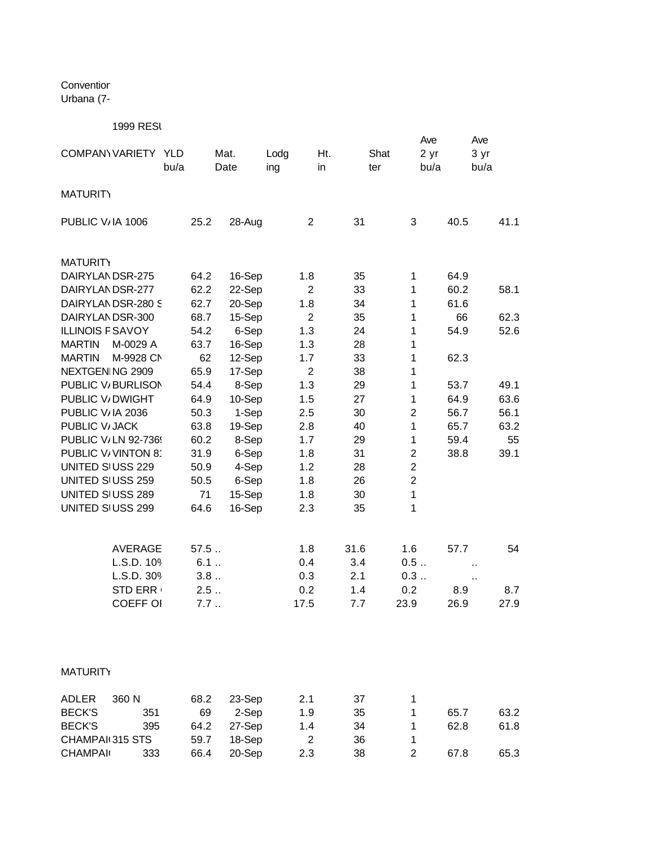Conventior Urbana (7-

1999 RESI

| COMPANY VARIETY YLD                         | bu/a         | Mat.<br>Date    | Lodg<br>ing    | Ht.<br>in | Shat<br>ter                  | Ave<br>2 <sub>yr</sub><br>bu/a | Ave<br>3 yr<br>bu/a |
|---------------------------------------------|--------------|-----------------|----------------|-----------|------------------------------|--------------------------------|---------------------|
| <b>MATURITY</b>                             |              |                 |                |           |                              |                                |                     |
| PUBLIC V/IA 1006                            | 25.2         | 28-Aug          | $\overline{2}$ | 31        | 3                            | 40.5                           | 41.1                |
| <b>MATURITY</b>                             |              |                 |                |           |                              |                                |                     |
| DAIRYLANDSR-275                             | 64.2         | 16-Sep          | 1.8            | 35        | $\mathbf{1}$                 | 64.9                           |                     |
| DAIRYLANDSR-277                             | 62.2         | 22-Sep          | $\overline{2}$ | 33        | $\mathbf{1}$                 | 60.2                           | 58.1                |
| DAIRYLANDSR-280 S                           | 62.7         | 20-Sep          | 1.8            | 34        | $\mathbf{1}$                 | 61.6                           |                     |
| DAIRYLAN DSR-300<br><b>ILLINOIS F SAVOY</b> | 68.7         | 15-Sep          | $\overline{2}$ | 35        | $\mathbf{1}$<br>$\mathbf{1}$ | 66                             | 62.3                |
| <b>MARTIN</b><br>M-0029 A                   | 54.2<br>63.7 | 6-Sep<br>16-Sep | 1.3<br>1.3     | 24<br>28  | $\mathbf{1}$                 | 54.9                           | 52.6                |
| <b>MARTIN</b><br>M-9928 CN                  | 62           | 12-Sep          | 1.7            | 33        | $\mathbf{1}$                 | 62.3                           |                     |
| NEXTGEN NG 2909                             | 65.9         | 17-Sep          | $\overline{2}$ | 38        | $\mathbf{1}$                 |                                |                     |
| PUBLIC V/BURLISON                           | 54.4         | 8-Sep           | 1.3            | 29        | $\mathbf{1}$                 | 53.7                           | 49.1                |
| PUBLIC V/DWIGHT                             | 64.9         | 10-Sep          | 1.5            | 27        | 1                            | 64.9                           | 63.6                |
| PUBLIC V/IA 2036                            | 50.3         | 1-Sep           | 2.5            | 30        | $\overline{2}$               | 56.7                           | 56.1                |
| PUBLIC V/ JACK                              | 63.8         | 19-Sep          | 2.8            | 40        | $\mathbf{1}$                 | 65.7                           | 63.2                |
| PUBLIC V/LN 92-736!                         | 60.2         | 8-Sep           | 1.7            | 29        | $\mathbf{1}$                 | 59.4                           | 55                  |
| PUBLIC V/VINTON 8                           | 31.9         | 6-Sep           | 1.8            | 31        | $\overline{2}$               | 38.8                           | 39.1                |
| UNITED SIUSS 229                            | 50.9         | 4-Sep           | 1.2            | 28        | $\overline{2}$               |                                |                     |
| UNITED SIUSS 259                            | 50.5         | 6-Sep           | 1.8            | 26        | $\overline{2}$               |                                |                     |
| UNITED SIUSS 289                            | 71           | 15-Sep          | 1.8            | 30        | $\mathbf{1}$                 |                                |                     |
| UNITED SIUSS 299                            | 64.6         | 16-Sep          | 2.3            | 35        | 1                            |                                |                     |
| <b>AVERAGE</b>                              | 57.5         |                 | 1.8            | 31.6      | 1.6                          | 57.7                           | 54                  |
| L.S.D. 109                                  | 6.1          |                 | 0.4            | 3.4       | 0.5                          |                                | à.                  |
| L.S.D. 309                                  | 3.8          |                 | 0.3            | 2.1       | 0.3                          |                                | ò.                  |
| STD ERR                                     | 2.5          |                 | 0.2            | 1.4       | 0.2                          | 8.9                            | 8.7                 |
| <b>COEFF OI</b>                             | 7.7          |                 | 17.5           | 7.7       | 23.9                         | 26.9                           | 27.9                |
|                                             |              |                 |                |           |                              |                                |                     |

## **MATURITY**

| <b>ADLER</b>    | 360 N | 68.2 | 23-Sep | 2.1 | 37 |   |      |      |
|-----------------|-------|------|--------|-----|----|---|------|------|
| <b>BECK'S</b>   | 351   | 69   | 2-Sep  | 1.9 | 35 |   | 65.7 | 63.2 |
| <b>BECK'S</b>   | 395   | 64.2 | 27-Sep | 1.4 | 34 |   | 62.8 | 61.8 |
| CHAMPAI 315 STS |       | 59.7 | 18-Sep |     | 36 |   |      |      |
| <b>CHAMPAI</b>  | 333   | 66.4 | 20-Sep | 2.3 | 38 | 2 | 67.8 | 65.3 |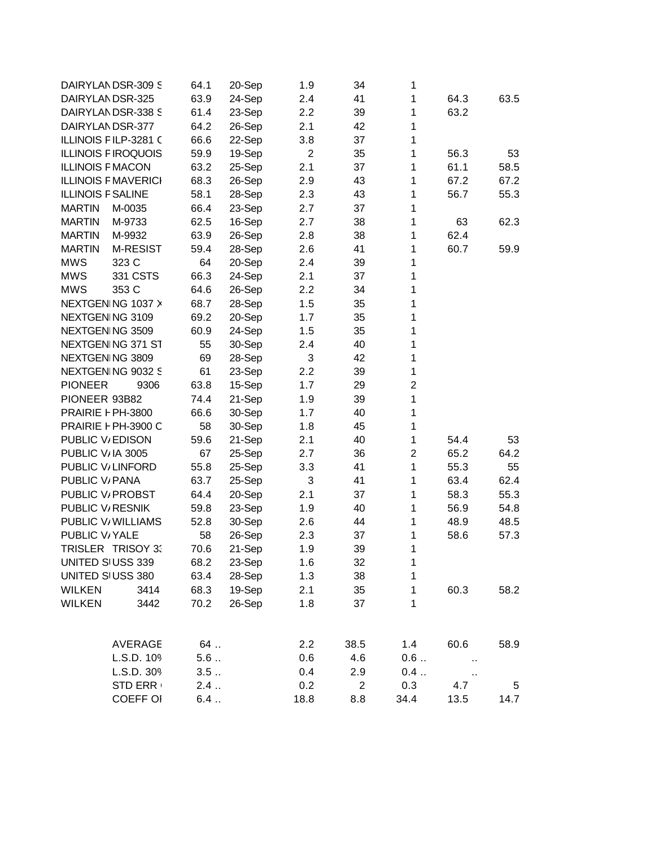| DAIRYLANDSR-309 S          |                 | 64.1  | 20-Sep | 1.9            | 34             | 1              |        |      |
|----------------------------|-----------------|-------|--------|----------------|----------------|----------------|--------|------|
| DAIRYLANDSR-325            |                 | 63.9  | 24-Sep | 2.4            | 41             | $\mathbf{1}$   | 64.3   | 63.5 |
| DAIRYLANDSR-338 S          |                 | 61.4  | 23-Sep | 2.2            | 39             | $\mathbf{1}$   | 63.2   |      |
| DAIRYLANDSR-377            |                 | 64.2  | 26-Sep | 2.1            | 42             | 1              |        |      |
| ILLINOIS FILP-3281 C       |                 | 66.6  | 22-Sep | 3.8            | 37             | $\mathbf{1}$   |        |      |
| <b>ILLINOIS FIROQUOIS</b>  |                 | 59.9  | 19-Sep | $\overline{2}$ | 35             | 1              | 56.3   | 53   |
| <b>ILLINOIS F MACON</b>    |                 | 63.2  | 25-Sep | 2.1            | 37             | 1              | 61.1   | 58.5 |
| <b>ILLINOIS F MAVERICI</b> |                 | 68.3  | 26-Sep | 2.9            | 43             | $\mathbf{1}$   | 67.2   | 67.2 |
| <b>ILLINOIS F SALINE</b>   |                 | 58.1  | 28-Sep | 2.3            | 43             | $\mathbf{1}$   | 56.7   | 55.3 |
| <b>MARTIN</b>              | M-0035          | 66.4  | 23-Sep | 2.7            | 37             | $\mathbf{1}$   |        |      |
| <b>MARTIN</b>              | M-9733          | 62.5  | 16-Sep | 2.7            | 38             | 1              | 63     | 62.3 |
| <b>MARTIN</b>              | M-9932          | 63.9  | 26-Sep | 2.8            | 38             | 1              | 62.4   |      |
| <b>MARTIN</b>              | <b>M-RESIST</b> | 59.4  | 28-Sep | 2.6            | 41             | 1              | 60.7   | 59.9 |
| <b>MWS</b>                 | 323 C           | 64    | 20-Sep | 2.4            | 39             | 1              |        |      |
| <b>MWS</b>                 | 331 CSTS        | 66.3  | 24-Sep | 2.1            | 37             | 1              |        |      |
| <b>MWS</b>                 | 353 C           | 64.6  | 26-Sep | 2.2            | 34             | $\mathbf 1$    |        |      |
| NEXTGEN NG 1037 X          |                 | 68.7  | 28-Sep | 1.5            | 35             | 1              |        |      |
| NEXTGEN NG 3109            |                 | 69.2  | 20-Sep | 1.7            | 35             | $\mathbf 1$    |        |      |
| NEXTGEN NG 3509            |                 | 60.9  | 24-Sep | 1.5            | 35             | 1              |        |      |
| NEXTGEN NG 371 ST          |                 | 55    | 30-Sep | 2.4            | 40             | 1              |        |      |
| NEXTGEN NG 3809            |                 | 69    | 28-Sep | 3              | 42             | 1              |        |      |
| NEXTGEN NG 9032 S          |                 | 61    | 23-Sep | 2.2            | 39             | 1              |        |      |
| <b>PIONEER</b>             | 9306            | 63.8  | 15-Sep | 1.7            | 29             | $\overline{c}$ |        |      |
| PIONEER 93B82              |                 | 74.4  | 21-Sep | 1.9            | 39             | $\mathbf 1$    |        |      |
| PRAIRIE F PH-3800          |                 | 66.6  | 30-Sep | 1.7            | 40             | $\mathbf 1$    |        |      |
| PRAIRIE F PH-3900 C        |                 | 58    | 30-Sep | 1.8            | 45             | $\mathbf 1$    |        |      |
| PUBLIC V/EDISON            |                 | 59.6  | 21-Sep | 2.1            | 40             | $\mathbf{1}$   | 54.4   | 53   |
| PUBLIC V/IA 3005           |                 | 67    | 25-Sep | 2.7            | 36             | $\overline{c}$ | 65.2   | 64.2 |
| PUBLIC V/LINFORD           |                 | 55.8  | 25-Sep | 3.3            | 41             | $\mathbf{1}$   | 55.3   | 55   |
| PUBLIC V/ PANA             |                 | 63.7  | 25-Sep | 3              | 41             | 1              | 63.4   | 62.4 |
| PUBLIC V/ PROBST           |                 | 64.4  | 20-Sep | 2.1            | 37             | $\mathbf{1}$   | 58.3   | 55.3 |
| PUBLIC V/RESNIK            |                 | 59.8  | 23-Sep | 1.9            | 40             | $\mathbf{1}$   | 56.9   | 54.8 |
| PUBLIC V/ WILLIAMS         |                 | 52.8  | 30-Sep | 2.6            | 44             | $\mathbf{1}$   | 48.9   | 48.5 |
| PUBLIC V/YALE              |                 | 58    | 26-Sep | 2.3            | 37             | $\mathbf{1}$   | 58.6   | 57.3 |
| TRISLER TRISOY 3.          |                 | 70.6  | 21-Sep | 1.9            | 39             | 1              |        |      |
| UNITED SIUSS 339           |                 | 68.2  | 23-Sep | 1.6            | 32             | 1              |        |      |
| UNITED SIUSS 380           |                 | 63.4  | 28-Sep | 1.3            | 38             | 1              |        |      |
| <b>WILKEN</b>              | 3414            | 68.3  | 19-Sep | 2.1            | 35             | 1              | 60.3   | 58.2 |
| <b>WILKEN</b>              | 3442            | 70.2  | 26-Sep | 1.8            | 37             | 1              |        |      |
|                            |                 |       |        |                |                |                |        |      |
|                            | <b>AVERAGE</b>  | $64$  |        | 2.2            | 38.5           | 1.4            | 60.6   | 58.9 |
|                            | L.S.D. 109      | $5.6$ |        | 0.6            | 4.6            | 0.6            | $\sim$ |      |
|                            | L.S.D. 309      | 3.5   |        | 0.4            | 2.9            | 0.4            | $\sim$ |      |
|                            | <b>STD ERR</b>  | 2.4   |        | 0.2            | $\overline{2}$ | 0.3            | 4.7    | 5    |
|                            | <b>COEFF OI</b> | 6.4   |        | 18.8           | 8.8            | 34.4           | 13.5   | 14.7 |